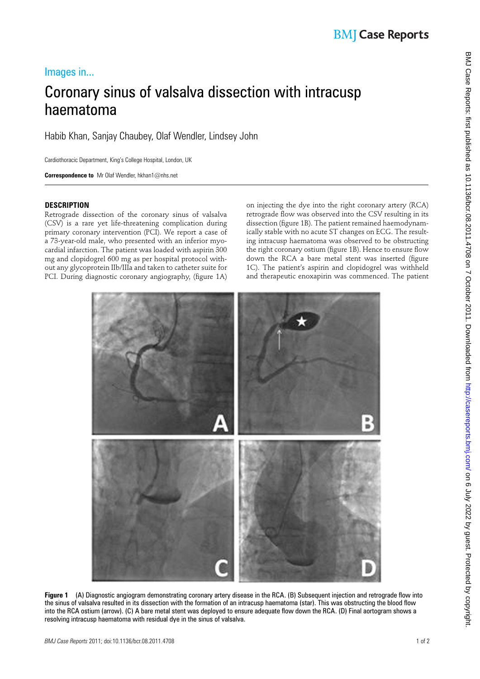# BMJ Case Reports: first published as 10.11.186/bcr.08.2011.4708 on 7 October 2011. Downloaded from http://casereports.bmj.com/ on 6 July 2022 by guest. Protected by copyright BMJ Case Reports: first published as 10.1136/bcr.08.2011.4708 on 7 October 2011. Downloaded from <http://casereports.bmj.com/> on 6 July 2022 by guest. Protected by copyright.

## Images in...

# Coronary sinus of valsalva dissection with intracusp haematoma

Habib Khan, Sanjay Chaubey, Olaf Wendler, Lindsey John

Cardiothoracic Department, King's College Hospital, London, UK

 **Correspondence to** Mr Olaf Wendler, hkhan1@nhs.net

### **DESCRIPTION**

Retrograde dissection of the coronary sinus of valsalva (CSV) is a rare yet life-threatening complication during primary coronary intervention (PCI). We report a case of a 73-year-old male, who presented with an inferior myocardial infarction. The patient was loaded with aspirin 300 mg and clopidogrel 600 mg as per hospital protocol without any glycoprotein IIb/IIIa and taken to catheter suite for PCI. During diagnostic coronary angiography, (figure 1A)

on injecting the dye into the right coronary artery (RCA) retrograde flow was observed into the CSV resulting in its dissection (figure 1B). The patient remained haemodynamically stable with no acute ST changes on ECG. The resulting intracusp haematoma was observed to be obstructing the right coronary ostium (figure 1B). Hence to ensure flow down the RCA a bare metal stent was inserted (figure 1C). The patient's aspirin and clopidogrel was withheld and therapeutic enoxapirin was commenced. The patient

**Figure 1** (A) Diagnostic angiogram demonstrating coronary artery disease in the RCA. (B) Subsequent injection and retrograde flow into the sinus of valsalva resulted in its dissection with the formation of an intracusp haematoma (star). This was obstructing the blood flow into the RCA ostium (arrow). (C) A bare metal stent was deployed to ensure adequate flow down the RCA. (D) Final aortogram shows a

resolving intracusp haematoma with residual dye in the sinus of valsalva.